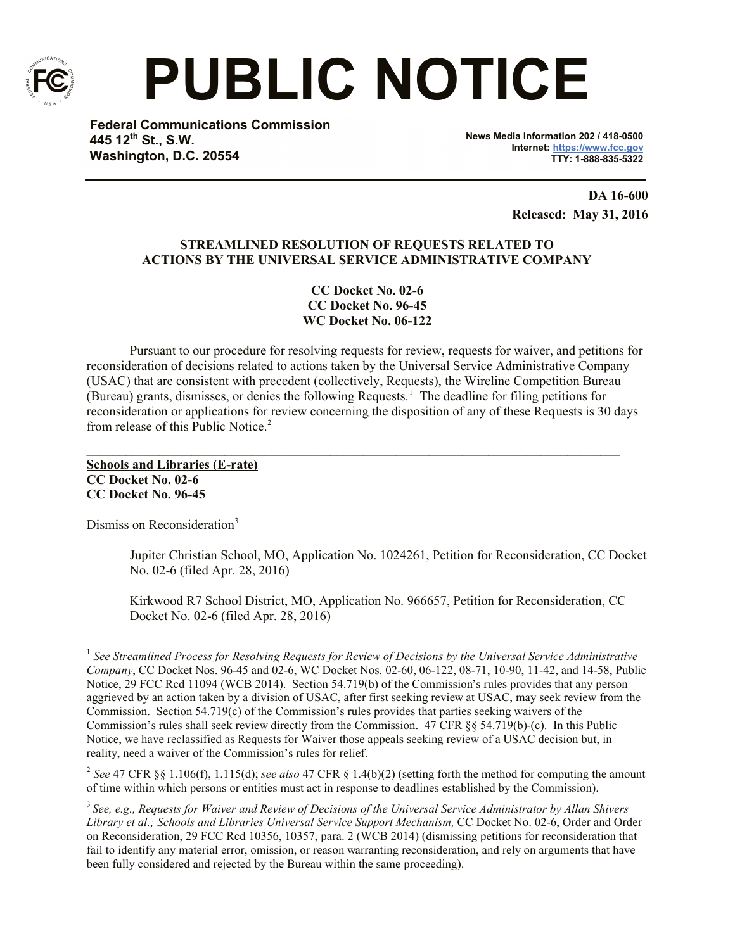

# **PUBLIC NOTICE**

**Federal Communications Commission 445 12th St., S.W. Washington, D.C. 20554**

**News Media Information 202 / 418-0500 Internet: https://www.fcc.gov TTY: 1-888-835-5322**

> **DA 16-600 Released: May 31, 2016**

# **STREAMLINED RESOLUTION OF REQUESTS RELATED TO ACTIONS BY THE UNIVERSAL SERVICE ADMINISTRATIVE COMPANY**

**CC Docket No. 02-6 CC Docket No. 96-45 WC Docket No. 06-122**

Pursuant to our procedure for resolving requests for review, requests for waiver, and petitions for reconsideration of decisions related to actions taken by the Universal Service Administrative Company (USAC) that are consistent with precedent (collectively, Requests), the Wireline Competition Bureau (Bureau) grants, dismisses, or denies the following Requests.<sup>1</sup> The deadline for filing petitions for reconsideration or applications for review concerning the disposition of any of these Requests is 30 days from release of this Public Notice.<sup>2</sup>

 $\mathcal{L}_\mathcal{L} = \{ \mathcal{L}_\mathcal{L} = \{ \mathcal{L}_\mathcal{L} = \{ \mathcal{L}_\mathcal{L} = \{ \mathcal{L}_\mathcal{L} = \{ \mathcal{L}_\mathcal{L} = \{ \mathcal{L}_\mathcal{L} = \{ \mathcal{L}_\mathcal{L} = \{ \mathcal{L}_\mathcal{L} = \{ \mathcal{L}_\mathcal{L} = \{ \mathcal{L}_\mathcal{L} = \{ \mathcal{L}_\mathcal{L} = \{ \mathcal{L}_\mathcal{L} = \{ \mathcal{L}_\mathcal{L} = \{ \mathcal{L}_\mathcal{$ 

**Schools and Libraries (E-rate) CC Docket No. 02-6 CC Docket No. 96-45**

Dismiss on Reconsideration<sup>3</sup>

Jupiter Christian School, MO, Application No. 1024261, Petition for Reconsideration, CC Docket No. 02-6 (filed Apr. 28, 2016)

Kirkwood R7 School District, MO, Application No. 966657, Petition for Reconsideration, CC Docket No. 02-6 (filed Apr. 28, 2016)

l <sup>1</sup> See Streamlined Process for Resolving Requests for Review of Decisions by the Universal Service Administrative *Company*, CC Docket Nos. 96-45 and 02-6, WC Docket Nos. 02-60, 06-122, 08-71, 10-90, 11-42, and 14-58, Public Notice, 29 FCC Rcd 11094 (WCB 2014). Section 54.719(b) of the Commission's rules provides that any person aggrieved by an action taken by a division of USAC, after first seeking review at USAC, may seek review from the Commission. Section 54.719(c) of the Commission's rules provides that parties seeking waivers of the Commission's rules shall seek review directly from the Commission. 47 CFR §§ 54.719(b)-(c). In this Public Notice, we have reclassified as Requests for Waiver those appeals seeking review of a USAC decision but, in reality, need a waiver of the Commission's rules for relief.

<sup>2</sup> *See* 47 CFR §§ 1.106(f), 1.115(d); *see also* 47 CFR § 1.4(b)(2) (setting forth the method for computing the amount of time within which persons or entities must act in response to deadlines established by the Commission).

<sup>3</sup> *See, e.g., Requests for Waiver and Review of Decisions of the Universal Service Administrator by Allan Shivers Library et al.; Schools and Libraries Universal Service Support Mechanism,* CC Docket No. 02-6, Order and Order on Reconsideration, 29 FCC Rcd 10356, 10357, para. 2 (WCB 2014) (dismissing petitions for reconsideration that fail to identify any material error, omission, or reason warranting reconsideration, and rely on arguments that have been fully considered and rejected by the Bureau within the same proceeding).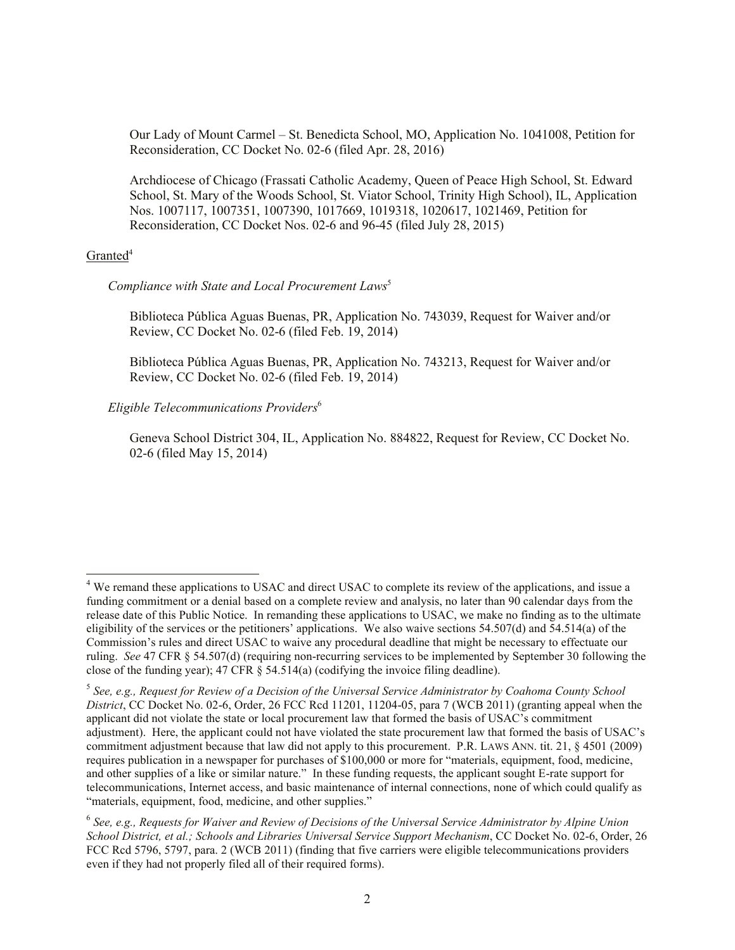Our Lady of Mount Carmel – St. Benedicta School, MO, Application No. 1041008, Petition for Reconsideration, CC Docket No. 02-6 (filed Apr. 28, 2016)

Archdiocese of Chicago (Frassati Catholic Academy, Queen of Peace High School, St. Edward School, St. Mary of the Woods School, St. Viator School, Trinity High School), IL, Application Nos. 1007117, 1007351, 1007390, 1017669, 1019318, 1020617, 1021469, Petition for Reconsideration, CC Docket Nos. 02-6 and 96-45 (filed July 28, 2015)

# $Granted<sup>4</sup>$

l

*Compliance with State and Local Procurement Laws*<sup>5</sup>

Biblioteca Pública Aguas Buenas, PR, Application No. 743039, Request for Waiver and/or Review, CC Docket No. 02-6 (filed Feb. 19, 2014)

Biblioteca Pública Aguas Buenas, PR, Application No. 743213, Request for Waiver and/or Review, CC Docket No. 02-6 (filed Feb. 19, 2014)

# *Eligible Telecommunications Providers*<sup>6</sup>

Geneva School District 304, IL, Application No. 884822, Request for Review, CC Docket No. 02-6 (filed May 15, 2014)

<sup>&</sup>lt;sup>4</sup> We remand these applications to USAC and direct USAC to complete its review of the applications, and issue a funding commitment or a denial based on a complete review and analysis, no later than 90 calendar days from the release date of this Public Notice. In remanding these applications to USAC, we make no finding as to the ultimate eligibility of the services or the petitioners' applications. We also waive sections 54.507(d) and 54.514(a) of the Commission's rules and direct USAC to waive any procedural deadline that might be necessary to effectuate our ruling. *See* 47 CFR § 54.507(d) (requiring non-recurring services to be implemented by September 30 following the close of the funding year); 47 CFR § 54.514(a) (codifying the invoice filing deadline).

<sup>5</sup> *See, e.g., Request for Review of a Decision of the Universal Service Administrator by Coahoma County School District*, CC Docket No. 02-6, Order, 26 FCC Rcd 11201, 11204-05, para 7 (WCB 2011) (granting appeal when the applicant did not violate the state or local procurement law that formed the basis of USAC's commitment adjustment). Here, the applicant could not have violated the state procurement law that formed the basis of USAC's commitment adjustment because that law did not apply to this procurement. P.R. LAWS ANN. tit. 21, § 4501 (2009) requires publication in a newspaper for purchases of \$100,000 or more for "materials, equipment, food, medicine, and other supplies of a like or similar nature." In these funding requests, the applicant sought E-rate support for telecommunications, Internet access, and basic maintenance of internal connections, none of which could qualify as "materials, equipment, food, medicine, and other supplies."

<sup>&</sup>lt;sup>6</sup> See, e.g., Requests for Waiver and Review of Decisions of the Universal Service Administrator by Alpine Union *School District, et al.; Schools and Libraries Universal Service Support Mechanism*, CC Docket No. 02-6, Order, 26 FCC Rcd 5796, 5797, para. 2 (WCB 2011) (finding that five carriers were eligible telecommunications providers even if they had not properly filed all of their required forms).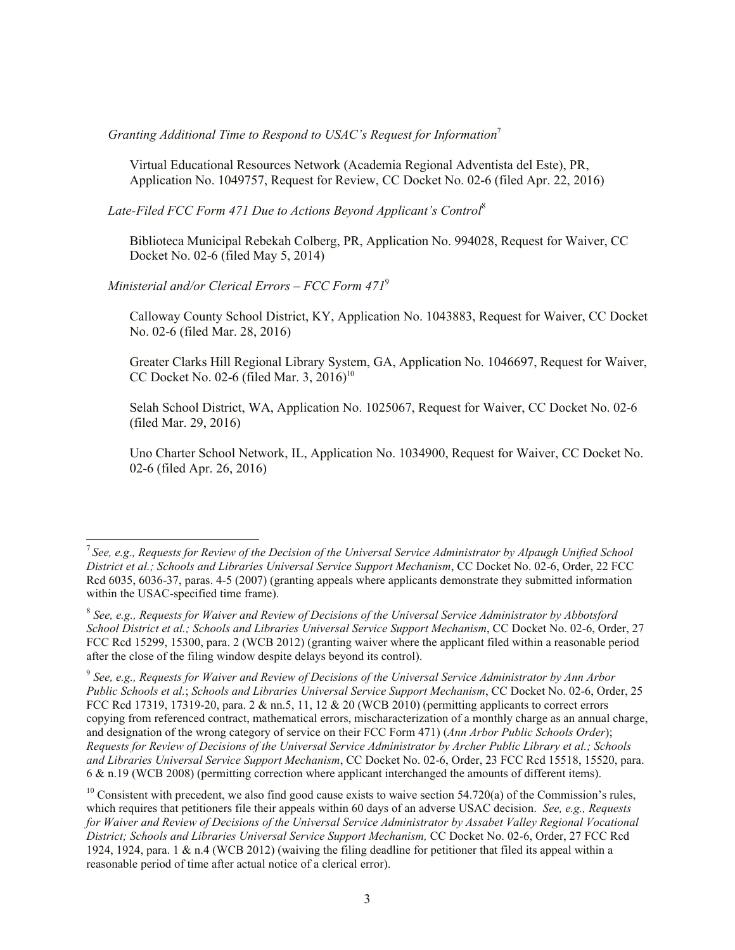*Granting Additional Time to Respond to USAC's Request for Information*<sup>7</sup>

Virtual Educational Resources Network (Academia Regional Adventista del Este), PR, Application No. 1049757, Request for Review, CC Docket No. 02-6 (filed Apr. 22, 2016)

*Late-Filed FCC Form 471 Due to Actions Beyond Applicant's Control*<sup>8</sup>

Biblioteca Municipal Rebekah Colberg, PR, Application No. 994028, Request for Waiver, CC Docket No. 02-6 (filed May 5, 2014)

*Ministerial and/or Clerical Errors – FCC Form 471*<sup>9</sup>

l

Calloway County School District, KY, Application No. 1043883, Request for Waiver, CC Docket No. 02-6 (filed Mar. 28, 2016)

Greater Clarks Hill Regional Library System, GA, Application No. 1046697, Request for Waiver, CC Docket No. 02-6 (filed Mar. 3, 2016)<sup>10</sup>

Selah School District, WA, Application No. 1025067, Request for Waiver, CC Docket No. 02-6 (filed Mar. 29, 2016)

Uno Charter School Network, IL, Application No. 1034900, Request for Waiver, CC Docket No. 02-6 (filed Apr. 26, 2016)

<sup>7</sup> *See, e.g., Requests for Review of the Decision of the Universal Service Administrator by Alpaugh Unified School District et al.; Schools and Libraries Universal Service Support Mechanism*, CC Docket No. 02-6, Order, 22 FCC Rcd 6035, 6036-37, paras. 4-5 (2007) (granting appeals where applicants demonstrate they submitted information within the USAC-specified time frame).

<sup>8</sup> *See, e.g., Requests for Waiver and Review of Decisions of the Universal Service Administrator by Abbotsford School District et al.; Schools and Libraries Universal Service Support Mechanism*, CC Docket No. 02-6, Order, 27 FCC Rcd 15299, 15300, para. 2 (WCB 2012) (granting waiver where the applicant filed within a reasonable period after the close of the filing window despite delays beyond its control).

<sup>9</sup> *See, e.g., Requests for Waiver and Review of Decisions of the Universal Service Administrator by Ann Arbor Public Schools et al.*; *Schools and Libraries Universal Service Support Mechanism*, CC Docket No. 02-6, Order, 25 FCC Rcd 17319, 17319-20, para. 2 & nn.5, 11, 12 & 20 (WCB 2010) (permitting applicants to correct errors copying from referenced contract, mathematical errors, mischaracterization of a monthly charge as an annual charge, and designation of the wrong category of service on their FCC Form 471) (*Ann Arbor Public Schools Order*); *Requests for Review of Decisions of the Universal Service Administrator by Archer Public Library et al.; Schools and Libraries Universal Service Support Mechanism*, CC Docket No. 02-6, Order, 23 FCC Rcd 15518, 15520, para. 6 & n.19 (WCB 2008) (permitting correction where applicant interchanged the amounts of different items).

 $10$  Consistent with precedent, we also find good cause exists to waive section 54.720(a) of the Commission's rules, which requires that petitioners file their appeals within 60 days of an adverse USAC decision. *See, e.g., Requests for Waiver and Review of Decisions of the Universal Service Administrator by Assabet Valley Regional Vocational District; Schools and Libraries Universal Service Support Mechanism,* CC Docket No. 02-6, Order, 27 FCC Rcd 1924, 1924, para. 1 & n.4 (WCB 2012) (waiving the filing deadline for petitioner that filed its appeal within a reasonable period of time after actual notice of a clerical error).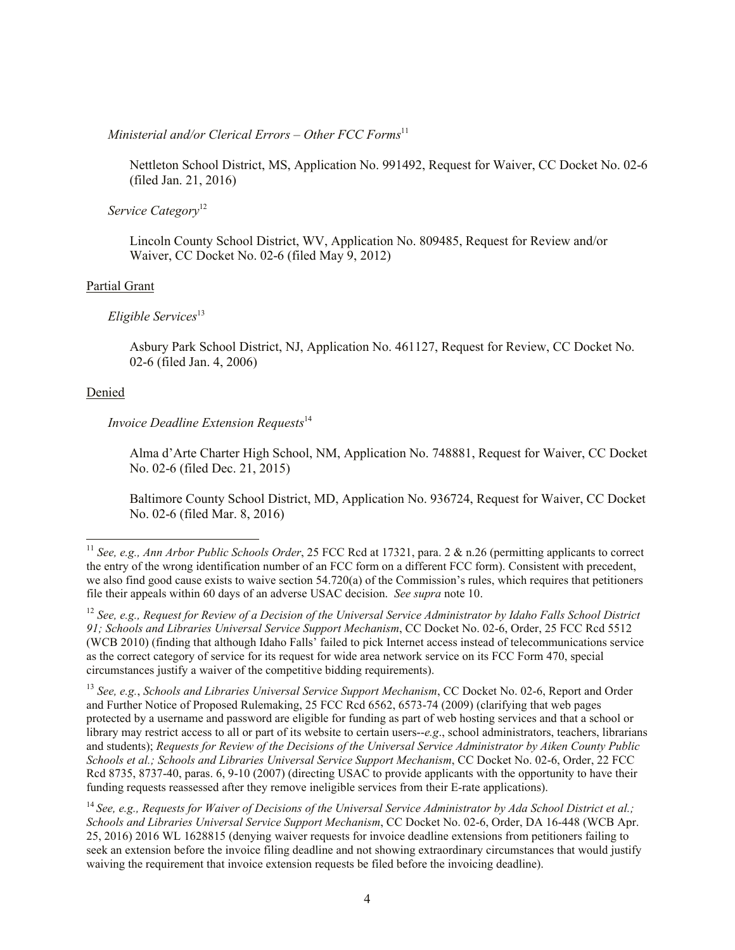# *Ministerial and/or Clerical Errors – Other FCC Forms*<sup>11</sup>

Nettleton School District, MS, Application No. 991492, Request for Waiver, CC Docket No. 02-6 (filed Jan. 21, 2016)

*Service Category*<sup>12</sup>

Lincoln County School District, WV, Application No. 809485, Request for Review and/or Waiver, CC Docket No. 02-6 (filed May 9, 2012)

# Partial Grant

# *Eligible Services*<sup>13</sup>

Asbury Park School District, NJ, Application No. 461127, Request for Review, CC Docket No. 02-6 (filed Jan. 4, 2006)

#### Denied

l

# *Invoice Deadline Extension Requests*<sup>14</sup>

Alma d'Arte Charter High School, NM, Application No. 748881, Request for Waiver, CC Docket No. 02-6 (filed Dec. 21, 2015)

Baltimore County School District, MD, Application No. 936724, Request for Waiver, CC Docket No. 02-6 (filed Mar. 8, 2016)

<sup>11</sup> *See, e.g., Ann Arbor Public Schools Order*, 25 FCC Rcd at 17321, para. 2 & n.26 (permitting applicants to correct the entry of the wrong identification number of an FCC form on a different FCC form). Consistent with precedent, we also find good cause exists to waive section 54.720(a) of the Commission's rules, which requires that petitioners file their appeals within 60 days of an adverse USAC decision. *See supra* note 10.

<sup>12</sup> *See, e.g., Request for Review of a Decision of the Universal Service Administrator by Idaho Falls School District 91; Schools and Libraries Universal Service Support Mechanism*, CC Docket No. 02-6, Order, 25 FCC Rcd 5512 (WCB 2010) (finding that although Idaho Falls' failed to pick Internet access instead of telecommunications service as the correct category of service for its request for wide area network service on its FCC Form 470, special circumstances justify a waiver of the competitive bidding requirements).

<sup>13</sup> *See, e.g.*, *Schools and Libraries Universal Service Support Mechanism*, CC Docket No. 02-6, Report and Order and Further Notice of Proposed Rulemaking, 25 FCC Rcd 6562, 6573-74 (2009) (clarifying that web pages protected by a username and password are eligible for funding as part of web hosting services and that a school or library may restrict access to all or part of its website to certain users--*e.g*., school administrators, teachers, librarians and students); *Requests for Review of the Decisions of the Universal Service Administrator by Aiken County Public Schools et al.; Schools and Libraries Universal Service Support Mechanism*, CC Docket No. 02-6, Order, 22 FCC Rcd 8735, 8737-40, paras. 6, 9-10 (2007) (directing USAC to provide applicants with the opportunity to have their funding requests reassessed after they remove ineligible services from their E-rate applications).

<sup>14</sup> *See, e.g., Requests for Waiver of Decisions of the Universal Service Administrator by Ada School District et al.; Schools and Libraries Universal Service Support Mechanism*, CC Docket No. 02-6, Order, DA 16-448 (WCB Apr. 25, 2016) 2016 WL 1628815 (denying waiver requests for invoice deadline extensions from petitioners failing to seek an extension before the invoice filing deadline and not showing extraordinary circumstances that would justify waiving the requirement that invoice extension requests be filed before the invoicing deadline).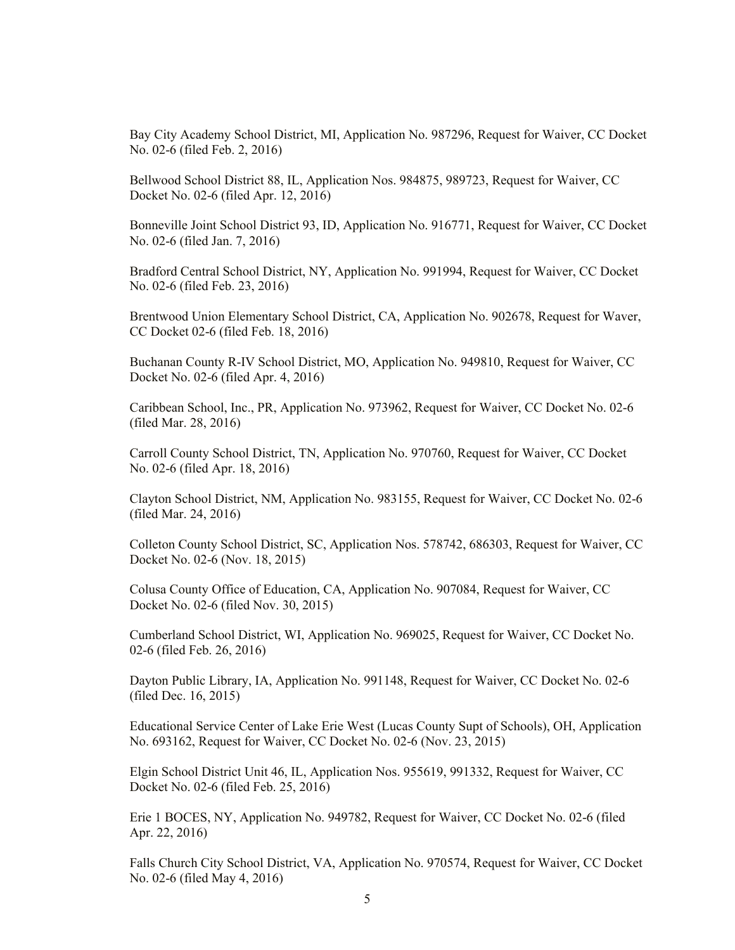Bay City Academy School District, MI, Application No. 987296, Request for Waiver, CC Docket No. 02-6 (filed Feb. 2, 2016)

Bellwood School District 88, IL, Application Nos. 984875, 989723, Request for Waiver, CC Docket No. 02-6 (filed Apr. 12, 2016)

Bonneville Joint School District 93, ID, Application No. 916771, Request for Waiver, CC Docket No. 02-6 (filed Jan. 7, 2016)

Bradford Central School District, NY, Application No. 991994, Request for Waiver, CC Docket No. 02-6 (filed Feb. 23, 2016)

Brentwood Union Elementary School District, CA, Application No. 902678, Request for Waver, CC Docket 02-6 (filed Feb. 18, 2016)

Buchanan County R-IV School District, MO, Application No. 949810, Request for Waiver, CC Docket No. 02-6 (filed Apr. 4, 2016)

Caribbean School, Inc., PR, Application No. 973962, Request for Waiver, CC Docket No. 02-6 (filed Mar. 28, 2016)

Carroll County School District, TN, Application No. 970760, Request for Waiver, CC Docket No. 02-6 (filed Apr. 18, 2016)

Clayton School District, NM, Application No. 983155, Request for Waiver, CC Docket No. 02-6 (filed Mar. 24, 2016)

Colleton County School District, SC, Application Nos. 578742, 686303, Request for Waiver, CC Docket No. 02-6 (Nov. 18, 2015)

Colusa County Office of Education, CA, Application No. 907084, Request for Waiver, CC Docket No. 02-6 (filed Nov. 30, 2015)

Cumberland School District, WI, Application No. 969025, Request for Waiver, CC Docket No. 02-6 (filed Feb. 26, 2016)

Dayton Public Library, IA, Application No. 991148, Request for Waiver, CC Docket No. 02-6 (filed Dec. 16, 2015)

Educational Service Center of Lake Erie West (Lucas County Supt of Schools), OH, Application No. 693162, Request for Waiver, CC Docket No. 02-6 (Nov. 23, 2015)

Elgin School District Unit 46, IL, Application Nos. 955619, 991332, Request for Waiver, CC Docket No. 02-6 (filed Feb. 25, 2016)

Erie 1 BOCES, NY, Application No. 949782, Request for Waiver, CC Docket No. 02-6 (filed Apr. 22, 2016)

Falls Church City School District, VA, Application No. 970574, Request for Waiver, CC Docket No. 02-6 (filed May 4, 2016)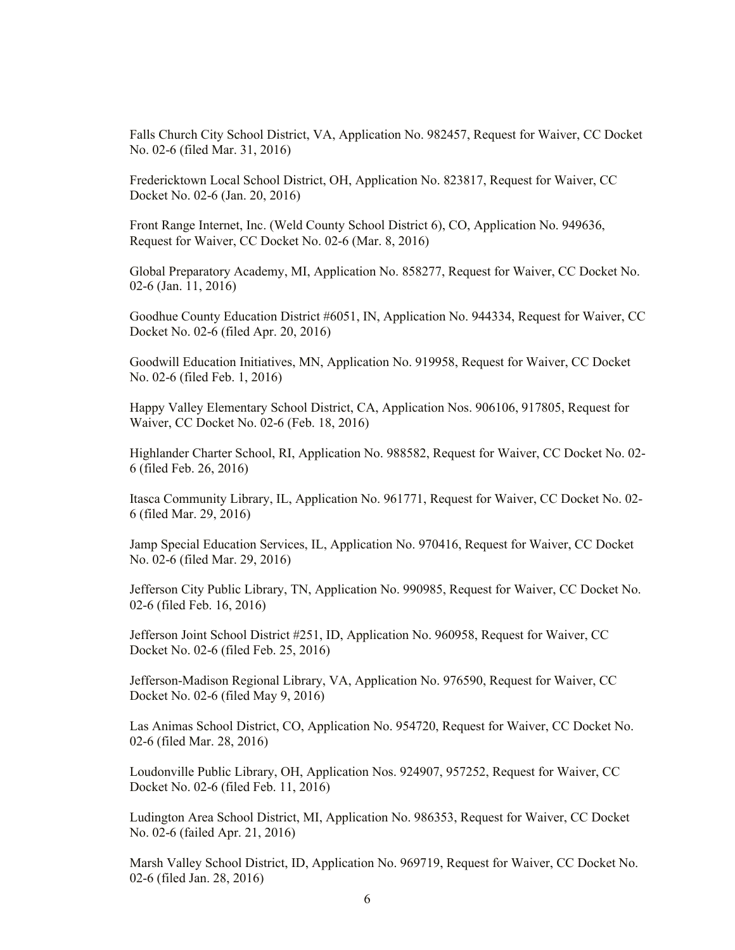Falls Church City School District, VA, Application No. 982457, Request for Waiver, CC Docket No. 02-6 (filed Mar. 31, 2016)

Fredericktown Local School District, OH, Application No. 823817, Request for Waiver, CC Docket No. 02-6 (Jan. 20, 2016)

Front Range Internet, Inc. (Weld County School District 6), CO, Application No. 949636, Request for Waiver, CC Docket No. 02-6 (Mar. 8, 2016)

Global Preparatory Academy, MI, Application No. 858277, Request for Waiver, CC Docket No. 02-6 (Jan. 11, 2016)

Goodhue County Education District #6051, IN, Application No. 944334, Request for Waiver, CC Docket No. 02-6 (filed Apr. 20, 2016)

Goodwill Education Initiatives, MN, Application No. 919958, Request for Waiver, CC Docket No. 02-6 (filed Feb. 1, 2016)

Happy Valley Elementary School District, CA, Application Nos. 906106, 917805, Request for Waiver, CC Docket No. 02-6 (Feb. 18, 2016)

Highlander Charter School, RI, Application No. 988582, Request for Waiver, CC Docket No. 02- 6 (filed Feb. 26, 2016)

Itasca Community Library, IL, Application No. 961771, Request for Waiver, CC Docket No. 02- 6 (filed Mar. 29, 2016)

Jamp Special Education Services, IL, Application No. 970416, Request for Waiver, CC Docket No. 02-6 (filed Mar. 29, 2016)

Jefferson City Public Library, TN, Application No. 990985, Request for Waiver, CC Docket No. 02-6 (filed Feb. 16, 2016)

Jefferson Joint School District #251, ID, Application No. 960958, Request for Waiver, CC Docket No. 02-6 (filed Feb. 25, 2016)

Jefferson-Madison Regional Library, VA, Application No. 976590, Request for Waiver, CC Docket No. 02-6 (filed May 9, 2016)

Las Animas School District, CO, Application No. 954720, Request for Waiver, CC Docket No. 02-6 (filed Mar. 28, 2016)

Loudonville Public Library, OH, Application Nos. 924907, 957252, Request for Waiver, CC Docket No. 02-6 (filed Feb. 11, 2016)

Ludington Area School District, MI, Application No. 986353, Request for Waiver, CC Docket No. 02-6 (failed Apr. 21, 2016)

Marsh Valley School District, ID, Application No. 969719, Request for Waiver, CC Docket No. 02-6 (filed Jan. 28, 2016)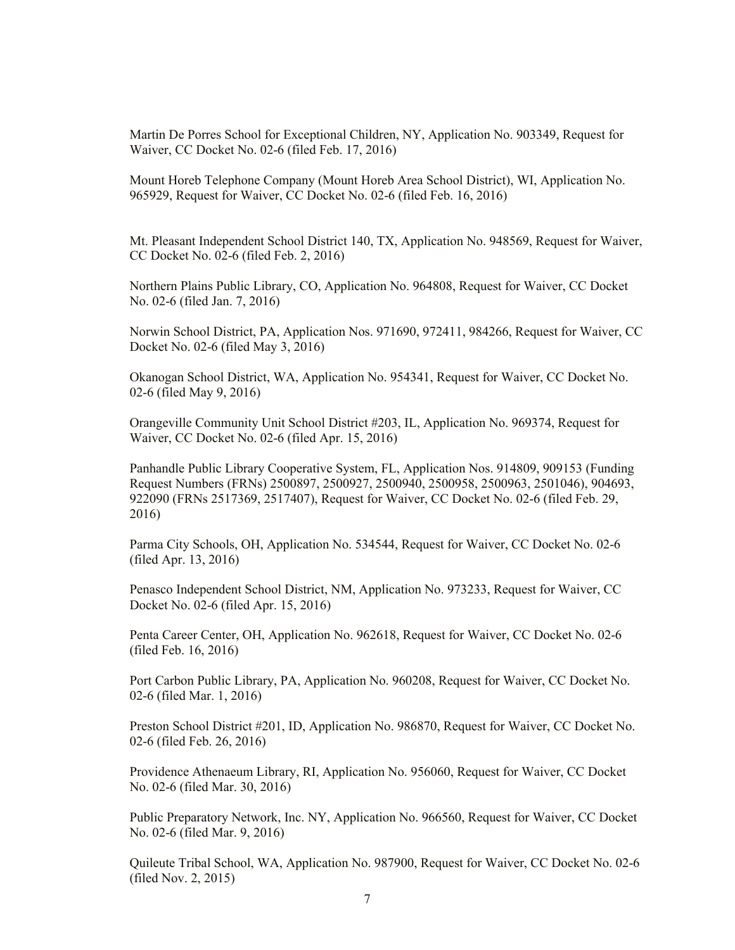Martin De Porres School for Exceptional Children, NY, Application No. 903349, Request for Waiver, CC Docket No. 02-6 (filed Feb. 17, 2016)

Mount Horeb Telephone Company (Mount Horeb Area School District), WI, Application No. 965929, Request for Waiver, CC Docket No. 02-6 (filed Feb. 16, 2016)

Mt. Pleasant Independent School District 140, TX, Application No. 948569, Request for Waiver, CC Docket No. 02-6 (filed Feb. 2, 2016)

Northern Plains Public Library, CO, Application No. 964808, Request for Waiver, CC Docket No. 02-6 (filed Jan. 7, 2016)

Norwin School District, PA, Application Nos. 971690, 972411, 984266, Request for Waiver, CC Docket No. 02-6 (filed May 3, 2016)

Okanogan School District, WA, Application No. 954341, Request for Waiver, CC Docket No. 02-6 (filed May 9, 2016)

Orangeville Community Unit School District #203, IL, Application No. 969374, Request for Waiver, CC Docket No. 02-6 (filed Apr. 15, 2016)

Panhandle Public Library Cooperative System, FL, Application Nos. 914809, 909153 (Funding Request Numbers (FRNs) 2500897, 2500927, 2500940, 2500958, 2500963, 2501046), 904693, 922090 (FRNs 2517369, 2517407), Request for Waiver, CC Docket No. 02-6 (filed Feb. 29, 2016)

Parma City Schools, OH, Application No. 534544, Request for Waiver, CC Docket No. 02-6 (filed Apr. 13, 2016)

Penasco Independent School District, NM, Application No. 973233, Request for Waiver, CC Docket No. 02-6 (filed Apr. 15, 2016)

Penta Career Center, OH, Application No. 962618, Request for Waiver, CC Docket No. 02-6 (filed Feb. 16, 2016)

Port Carbon Public Library, PA, Application No. 960208, Request for Waiver, CC Docket No. 02-6 (filed Mar. 1, 2016)

Preston School District #201, ID, Application No. 986870, Request for Waiver, CC Docket No. 02-6 (filed Feb. 26, 2016)

Providence Athenaeum Library, RI, Application No. 956060, Request for Waiver, CC Docket No. 02-6 (filed Mar. 30, 2016)

Public Preparatory Network, Inc. NY, Application No. 966560, Request for Waiver, CC Docket No. 02-6 (filed Mar. 9, 2016)

Quileute Tribal School, WA, Application No. 987900, Request for Waiver, CC Docket No. 02-6 (filed Nov. 2, 2015)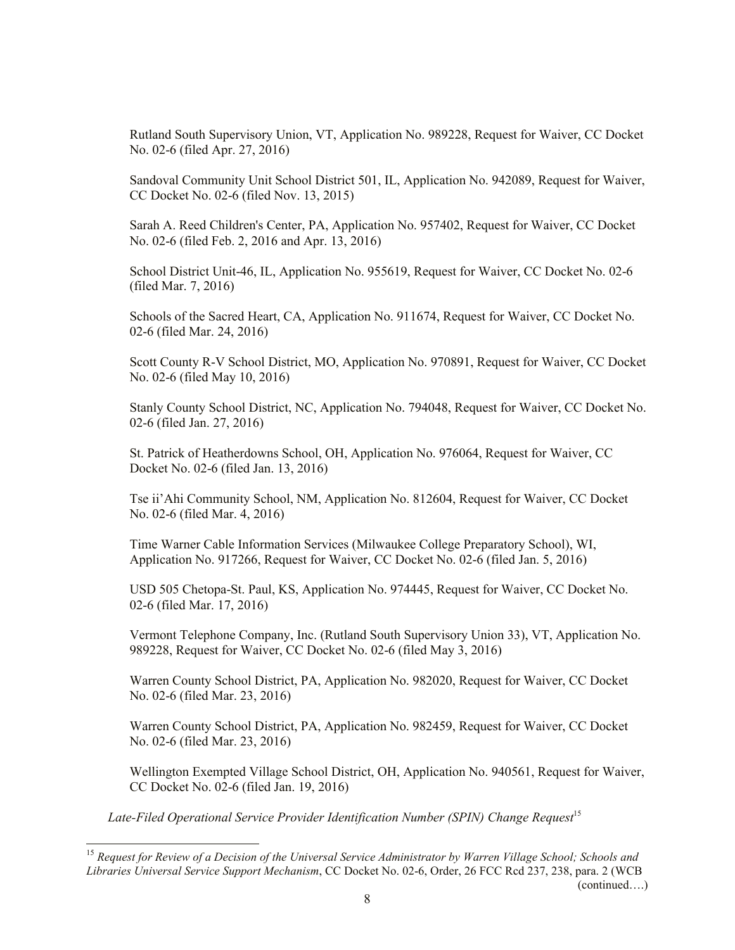Rutland South Supervisory Union, VT, Application No. 989228, Request for Waiver, CC Docket No. 02-6 (filed Apr. 27, 2016)

Sandoval Community Unit School District 501, IL, Application No. 942089, Request for Waiver, CC Docket No. 02-6 (filed Nov. 13, 2015)

Sarah A. Reed Children's Center, PA, Application No. 957402, Request for Waiver, CC Docket No. 02-6 (filed Feb. 2, 2016 and Apr. 13, 2016)

School District Unit-46, IL, Application No. 955619, Request for Waiver, CC Docket No. 02-6 (filed Mar. 7, 2016)

Schools of the Sacred Heart, CA, Application No. 911674, Request for Waiver, CC Docket No. 02-6 (filed Mar. 24, 2016)

Scott County R-V School District, MO, Application No. 970891, Request for Waiver, CC Docket No. 02-6 (filed May 10, 2016)

Stanly County School District, NC, Application No. 794048, Request for Waiver, CC Docket No. 02-6 (filed Jan. 27, 2016)

St. Patrick of Heatherdowns School, OH, Application No. 976064, Request for Waiver, CC Docket No. 02-6 (filed Jan. 13, 2016)

Tse ii'Ahi Community School, NM, Application No. 812604, Request for Waiver, CC Docket No. 02-6 (filed Mar. 4, 2016)

Time Warner Cable Information Services (Milwaukee College Preparatory School), WI, Application No. 917266, Request for Waiver, CC Docket No. 02-6 (filed Jan. 5, 2016)

USD 505 Chetopa-St. Paul, KS, Application No. 974445, Request for Waiver, CC Docket No. 02-6 (filed Mar. 17, 2016)

Vermont Telephone Company, Inc. (Rutland South Supervisory Union 33), VT, Application No. 989228, Request for Waiver, CC Docket No. 02-6 (filed May 3, 2016)

Warren County School District, PA, Application No. 982020, Request for Waiver, CC Docket No. 02-6 (filed Mar. 23, 2016)

Warren County School District, PA, Application No. 982459, Request for Waiver, CC Docket No. 02-6 (filed Mar. 23, 2016)

Wellington Exempted Village School District, OH, Application No. 940561, Request for Waiver, CC Docket No. 02-6 (filed Jan. 19, 2016)

*Late-Filed Operational Service Provider Identification Number (SPIN) Change Request*<sup>15</sup>

l

<sup>15</sup> *Request for Review of a Decision of the Universal Service Administrator by Warren Village School; Schools and Libraries Universal Service Support Mechanism*, CC Docket No. 02-6, Order, 26 FCC Rcd 237, 238, para. 2 (WCB (continued….)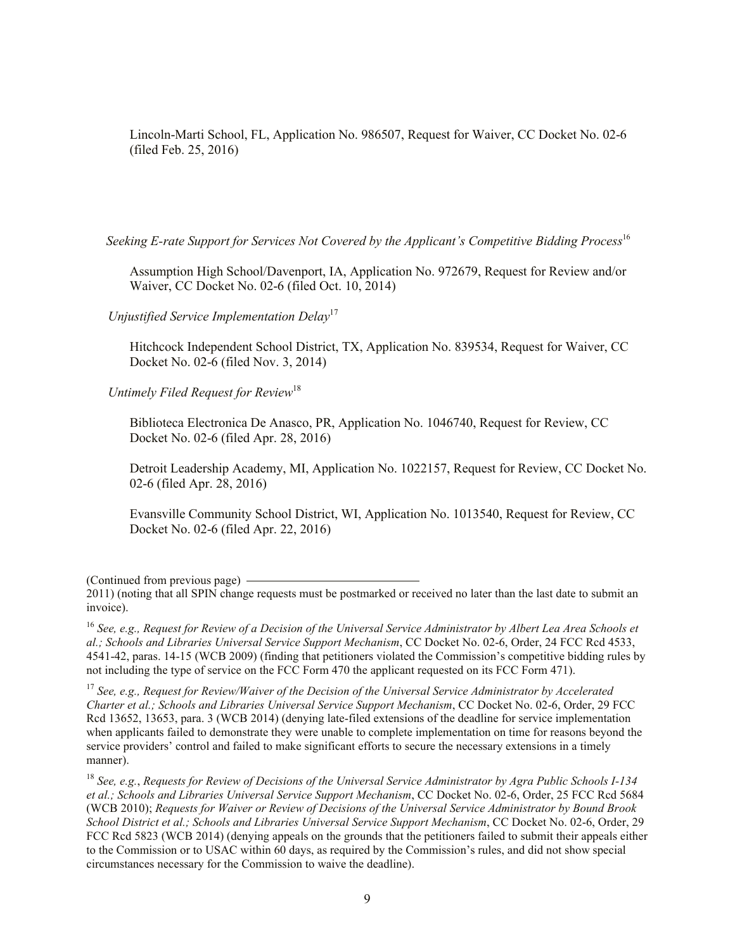Lincoln-Marti School, FL, Application No. 986507, Request for Waiver, CC Docket No. 02-6 (filed Feb. 25, 2016)

 *Seeking E-rate Support for Services Not Covered by the Applicant's Competitive Bidding Process*<sup>16</sup>

Assumption High School/Davenport, IA, Application No. 972679, Request for Review and/or Waiver, CC Docket No. 02-6 (filed Oct. 10, 2014)

*Unjustified Service Implementation Delay*<sup>17</sup>

Hitchcock Independent School District, TX, Application No. 839534, Request for Waiver, CC Docket No. 02-6 (filed Nov. 3, 2014)

*Untimely Filed Request for Review*<sup>18</sup>

Biblioteca Electronica De Anasco, PR, Application No. 1046740, Request for Review, CC Docket No. 02-6 (filed Apr. 28, 2016)

Detroit Leadership Academy, MI, Application No. 1022157, Request for Review, CC Docket No. 02-6 (filed Apr. 28, 2016)

Evansville Community School District, WI, Application No. 1013540, Request for Review, CC Docket No. 02-6 (filed Apr. 22, 2016)

(Continued from previous page)

<sup>16</sup> See, e.g., Request for Review of a Decision of the Universal Service Administrator by Albert Lea Area Schools et *al.; Schools and Libraries Universal Service Support Mechanism*, CC Docket No. 02-6, Order, 24 FCC Rcd 4533, 4541-42, paras. 14-15 (WCB 2009) (finding that petitioners violated the Commission's competitive bidding rules by not including the type of service on the FCC Form 470 the applicant requested on its FCC Form 471).

<sup>17</sup> *See, e.g., Request for Review/Waiver of the Decision of the Universal Service Administrator by Accelerated Charter et al.; Schools and Libraries Universal Service Support Mechanism*, CC Docket No. 02-6, Order, 29 FCC Rcd 13652, 13653, para. 3 (WCB 2014) (denying late-filed extensions of the deadline for service implementation when applicants failed to demonstrate they were unable to complete implementation on time for reasons beyond the service providers' control and failed to make significant efforts to secure the necessary extensions in a timely manner).

<sup>2011) (</sup>noting that all SPIN change requests must be postmarked or received no later than the last date to submit an invoice).

<sup>18</sup> *See, e.g.*, *Requests for Review of Decisions of the Universal Service Administrator by Agra Public Schools I-134 et al.; Schools and Libraries Universal Service Support Mechanism*, CC Docket No. 02-6, Order, 25 FCC Rcd 5684 (WCB 2010); *Requests for Waiver or Review of Decisions of the Universal Service Administrator by Bound Brook School District et al.; Schools and Libraries Universal Service Support Mechanism*, CC Docket No. 02-6, Order, 29 FCC Rcd 5823 (WCB 2014) (denying appeals on the grounds that the petitioners failed to submit their appeals either to the Commission or to USAC within 60 days, as required by the Commission's rules, and did not show special circumstances necessary for the Commission to waive the deadline).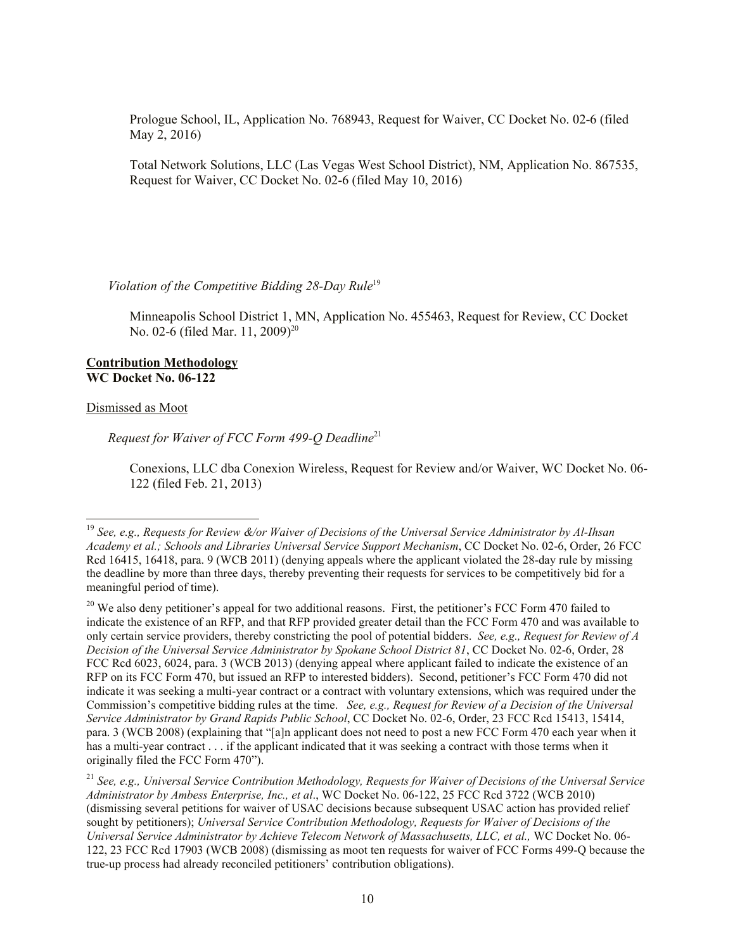Prologue School, IL, Application No. 768943, Request for Waiver, CC Docket No. 02-6 (filed May 2, 2016)

Total Network Solutions, LLC (Las Vegas West School District), NM, Application No. 867535, Request for Waiver, CC Docket No. 02-6 (filed May 10, 2016)

*Violation of the Competitive Bidding 28-Day Rule*<sup>19</sup>

Minneapolis School District 1, MN, Application No. 455463, Request for Review, CC Docket No. 02-6 (filed Mar. 11, 2009)<sup>20</sup>

# **Contribution Methodology WC Docket No. 06-122**

#### Dismissed as Moot

l

*Request for Waiver of FCC Form 499-Q Deadline*<sup>21</sup>

Conexions, LLC dba Conexion Wireless, Request for Review and/or Waiver, WC Docket No. 06- 122 (filed Feb. 21, 2013)

<sup>19</sup> *See, e.g., Requests for Review &/or Waiver of Decisions of the Universal Service Administrator by Al-Ihsan Academy et al.; Schools and Libraries Universal Service Support Mechanism*, CC Docket No. 02-6, Order, 26 FCC Rcd 16415, 16418, para. 9 (WCB 2011) (denying appeals where the applicant violated the 28-day rule by missing the deadline by more than three days, thereby preventing their requests for services to be competitively bid for a meaningful period of time).

<sup>&</sup>lt;sup>20</sup> We also deny petitioner's appeal for two additional reasons. First, the petitioner's FCC Form 470 failed to indicate the existence of an RFP, and that RFP provided greater detail than the FCC Form 470 and was available to only certain service providers, thereby constricting the pool of potential bidders. *See, e.g., Request for Review of A Decision of the Universal Service Administrator by Spokane School District 81*, CC Docket No. 02-6, Order, 28 FCC Rcd 6023, 6024, para. 3 (WCB 2013) (denying appeal where applicant failed to indicate the existence of an RFP on its FCC Form 470, but issued an RFP to interested bidders). Second, petitioner's FCC Form 470 did not indicate it was seeking a multi-year contract or a contract with voluntary extensions, which was required under the Commission's competitive bidding rules at the time. *See, e.g., Request for Review of a Decision of the Universal Service Administrator by Grand Rapids Public School*, CC Docket No. 02-6, Order, 23 FCC Rcd 15413, 15414, para. 3 (WCB 2008) (explaining that "[a]n applicant does not need to post a new FCC Form 470 each year when it has a multi-year contract . . . if the applicant indicated that it was seeking a contract with those terms when it originally filed the FCC Form 470").

<sup>21</sup> *See, e.g., Universal Service Contribution Methodology, Requests for Waiver of Decisions of the Universal Service Administrator by Ambess Enterprise, Inc., et al*., WC Docket No. 06-122, 25 FCC Rcd 3722 (WCB 2010) (dismissing several petitions for waiver of USAC decisions because subsequent USAC action has provided relief sought by petitioners); *Universal Service Contribution Methodology, Requests for Waiver of Decisions of the Universal Service Administrator by Achieve Telecom Network of Massachusetts, LLC, et al.,* WC Docket No. 06- 122, 23 FCC Rcd 17903 (WCB 2008) (dismissing as moot ten requests for waiver of FCC Forms 499-Q because the true-up process had already reconciled petitioners' contribution obligations).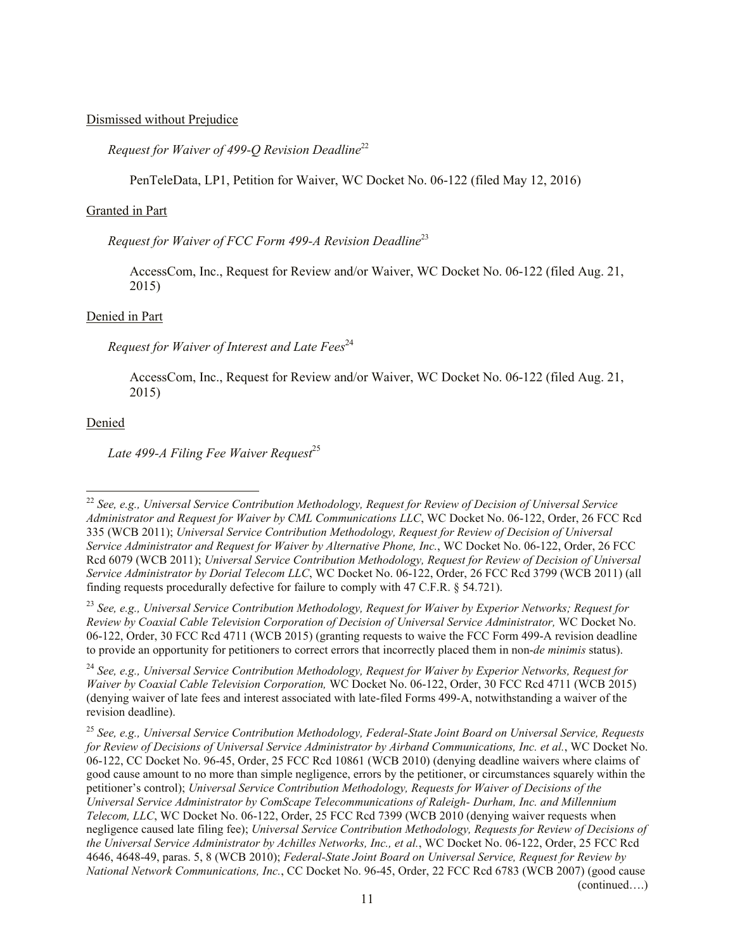### Dismissed without Prejudice

*Request for Waiver of 499-Q Revision Deadline*<sup>22</sup>

PenTeleData, LP1, Petition for Waiver, WC Docket No. 06-122 (filed May 12, 2016)

# Granted in Part

*Request for Waiver of FCC Form 499-A Revision Deadline*<sup>23</sup>

AccessCom, Inc., Request for Review and/or Waiver, WC Docket No. 06-122 (filed Aug. 21, 2015)

# Denied in Part

*Request for Waiver of Interest and Late Fees*<sup>24</sup>

AccessCom, Inc., Request for Review and/or Waiver, WC Docket No. 06-122 (filed Aug. 21, 2015)

# Denied

l

Late 499-A Filing Fee Waiver Request<sup>25</sup>

<sup>22</sup> *See, e.g., Universal Service Contribution Methodology, Request for Review of Decision of Universal Service Administrator and Request for Waiver by CML Communications LLC*, WC Docket No. 06-122, Order, 26 FCC Rcd 335 (WCB 2011); *Universal Service Contribution Methodology, Request for Review of Decision of Universal Service Administrator and Request for Waiver by Alternative Phone, Inc.*, WC Docket No. 06-122, Order, 26 FCC Rcd 6079 (WCB 2011); *Universal Service Contribution Methodology, Request for Review of Decision of Universal Service Administrator by Dorial Telecom LLC*, WC Docket No. 06-122, Order, 26 FCC Rcd 3799 (WCB 2011) (all finding requests procedurally defective for failure to comply with 47 C.F.R. § 54.721).

<sup>23</sup> *See, e.g., Universal Service Contribution Methodology, Request for Waiver by Experior Networks; Request for Review by Coaxial Cable Television Corporation of Decision of Universal Service Administrator,* WC Docket No. 06-122, Order, 30 FCC Rcd 4711 (WCB 2015) (granting requests to waive the FCC Form 499-A revision deadline to provide an opportunity for petitioners to correct errors that incorrectly placed them in non-*de minimis* status).

<sup>24</sup> *See, e.g., Universal Service Contribution Methodology, Request for Waiver by Experior Networks, Request for Waiver by Coaxial Cable Television Corporation,* WC Docket No. 06-122, Order, 30 FCC Rcd 4711 (WCB 2015) (denying waiver of late fees and interest associated with late-filed Forms 499-A, notwithstanding a waiver of the revision deadline).

<sup>25</sup> *See, e.g., Universal Service Contribution Methodology, Federal-State Joint Board on Universal Service, Requests for Review of Decisions of Universal Service Administrator by Airband Communications, Inc. et al.*, WC Docket No. 06-122, CC Docket No. 96-45, Order, 25 FCC Rcd 10861 (WCB 2010) (denying deadline waivers where claims of good cause amount to no more than simple negligence, errors by the petitioner, or circumstances squarely within the petitioner's control); *Universal Service Contribution Methodology, Requests for Waiver of Decisions of the Universal Service Administrator by ComScape Telecommunications of Raleigh- Durham, Inc. and Millennium Telecom, LLC*, WC Docket No. 06-122, Order, 25 FCC Rcd 7399 (WCB 2010 (denying waiver requests when negligence caused late filing fee); *Universal Service Contribution Methodology, Requests for Review of Decisions of the Universal Service Administrator by Achilles Networks, Inc., et al.*, WC Docket No. 06-122, Order, 25 FCC Rcd 4646, 4648-49, paras. 5, 8 (WCB 2010); *Federal-State Joint Board on Universal Service, Request for Review by National Network Communications, Inc.*, CC Docket No. 96-45, Order, 22 FCC Rcd 6783 (WCB 2007) (good cause (continued….)